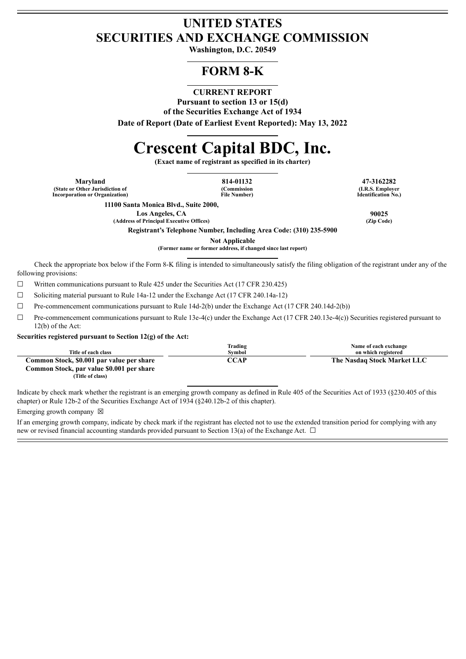## **UNITED STATES SECURITIES AND EXCHANGE COMMISSION**

**Washington, D.C. 20549**

# **FORM 8-K**

## **CURRENT REPORT**

**Pursuant to section 13 or 15(d)**

**of the Securities Exchange Act of 1934**

**Date of Report (Date of Earliest Event Reported): May 13, 2022**

# **Crescent Capital BDC, Inc.**

**(Exact name of registrant as specified in its charter)**

**Maryland 814-01132 47-3162282 (State or Other Jurisdiction of Incorporation or Organization)**

**(Commission File Number)**

**(I.R.S. Employer Identification No.)**

**11100 Santa Monica Blvd., Suite 2000,**

**Los Angeles, CA 90025**

**Registrant's Telephone Number, Including Area Code: (310) 235-5900**

**Not Applicable**

**(Former name or former address, if changed since last report)**

Check the appropriate box below if the Form 8-K filing is intended to simultaneously satisfy the filing obligation of the registrant under any of the following provisions:

☐ Written communications pursuant to Rule 425 under the Securities Act (17 CFR 230.425)

☐ Soliciting material pursuant to Rule 14a-12 under the Exchange Act (17 CFR 240.14a-12)

☐ Pre-commencement communications pursuant to Rule 14d-2(b) under the Exchange Act (17 CFR 240.14d-2(b))

 $\Box$  Pre-commencement communications pursuant to Rule 13e-4(c) under the Exchange Act (17 CFR 240.13e-4(c)) Securities registered pursuant to 12(b) of the Act:

#### **Securities registered pursuant to Section 12(g) of the Act:**

|                                           | Trading | Name of each exchange       |
|-------------------------------------------|---------|-----------------------------|
| Title of each class                       | Svmbol  | on which registered         |
| Common Stock, \$0.001 par value per share | CCAP    | The Nasdaq Stock Market LLC |
| Common Stock, par value \$0.001 per share |         |                             |
| (Title of class)                          |         |                             |

Indicate by check mark whether the registrant is an emerging growth company as defined in Rule 405 of the Securities Act of 1933 (§230.405 of this chapter) or Rule 12b-2 of the Securities Exchange Act of 1934 (§240.12b-2 of this chapter).

Emerging growth company  $\boxtimes$ 

If an emerging growth company, indicate by check mark if the registrant has elected not to use the extended transition period for complying with any new or revised financial accounting standards provided pursuant to Section 13(a) of the Exchange Act.  $\Box$ 

**(Address of Principal Executive Offices) (Zip Code)**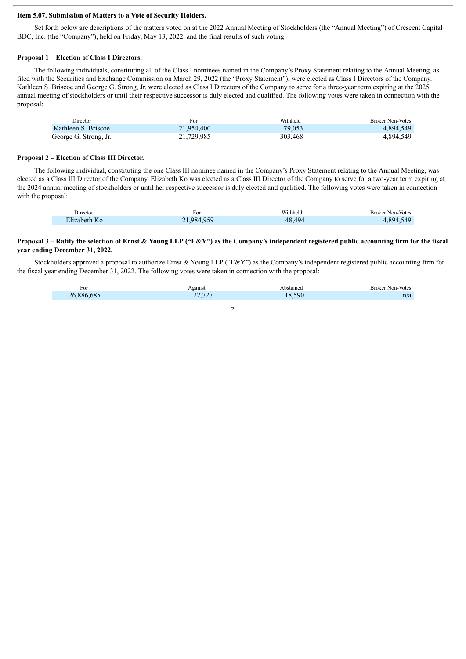#### **Item 5.07. Submission of Matters to a Vote of Security Holders.**

Set forth below are descriptions of the matters voted on at the 2022 Annual Meeting of Stockholders (the "Annual Meeting") of Crescent Capital BDC, Inc. (the "Company"), held on Friday, May 13, 2022, and the final results of such voting:

#### **Proposal 1 – Election of Class I Directors.**

The following individuals, constituting all of the Class I nominees named in the Company's Proxy Statement relating to the Annual Meeting, as filed with the Securities and Exchange Commission on March 29, 2022 (the "Proxy Statement"), were elected as Class I Directors of the Company. Kathleen S. Briscoe and George G. Strong, Jr. were elected as Class I Directors of the Company to serve for a three-year term expiring at the 2025 annual meeting of stockholders or until their respective successor is duly elected and qualified. The following votes were taken in connection with the proposal:

| Director              | For        | Withheld | <b>Broker Non-Votes</b> |
|-----------------------|------------|----------|-------------------------|
| Kathleen S. Briscoe   | 21.954.400 | 79.053   | 4.894.549               |
| George G. Strong, Jr. | 21,729,985 | 303.468  | 4.894.549               |

#### **Proposal 2 – Election of Class III Director.**

The following individual, constituting the one Class III nominee named in the Company's Proxy Statement relating to the Annual Meeting, was elected as a Class III Director of the Company. Elizabeth Ko was elected as a Class III Director of the Company to serve for a two-year term expiring at the 2024 annual meeting of stockholders or until her respective successor is duly elected and qualified. The following votes were taken in connection with the proposal:

| Director                                | FΟI     | Withhela               | <b>Broker Non-Votes</b>  |
|-----------------------------------------|---------|------------------------|--------------------------|
| --<br>:I1zabeth<br>$\mathcal{L}$<br>N() | 984.959 | 48<br>$\Delta Q$<br>ю. | 894<br>$-10$<br>$\Delta$ |

#### Proposal 3 – Ratify the selection of Ernst & Young LLP ("E&Y") as the Company's independent registered public accounting firm for the fiscal **year ending December 31, 2022.**

Stockholders approved a proposal to authorize Ernst & Young LLP ("E&Y") as the Company's independent registered public accounting firm for the fiscal year ending December 31, 2022. The following votes were taken in connection with the proposal:

| ۲O                                    | eainsi                                                                                                                                                 | `hstaineu          | Broker<br>Non-Votes |
|---------------------------------------|--------------------------------------------------------------------------------------------------------------------------------------------------------|--------------------|---------------------|
| $\sim$ $\sim$<br>oσ<br>. .<br>'n<br>m | $H^{\bullet}$<br>$\sim$<br>--<br><b>Contract Contract Contract Contract Contract Contract Contract Contract Contract Contract Contract Contract Co</b> | $\Omega$<br>$\sim$ |                     |

2